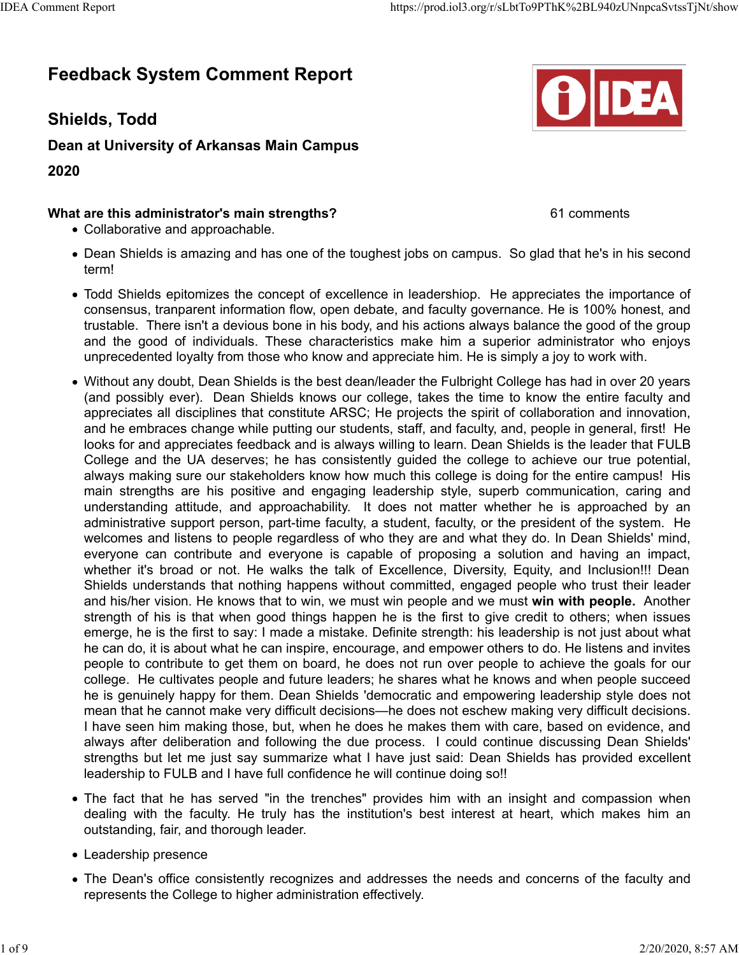## **Feedback System Comment Report**

**Shields, Todd**

**Dean at University of Arkansas Main Campus**

**2020**

## **What are this administrator's main strengths?** 61 comments

- Collaborative and approachable.
- Dean Shields is amazing and has one of the toughest jobs on campus. So glad that he's in his second term!
- Todd Shields epitomizes the concept of excellence in leadershiop. He appreciates the importance of consensus, tranparent information flow, open debate, and faculty governance. He is 100% honest, and trustable. There isn't a devious bone in his body, and his actions always balance the good of the group and the good of individuals. These characteristics make him a superior administrator who enjoys unprecedented loyalty from those who know and appreciate him. He is simply a joy to work with.
- Without any doubt, Dean Shields is the best dean/leader the Fulbright College has had in over 20 years (and possibly ever). Dean Shields knows our college, takes the time to know the entire faculty and appreciates all disciplines that constitute ARSC; He projects the spirit of collaboration and innovation, and he embraces change while putting our students, staff, and faculty, and, people in general, first! He looks for and appreciates feedback and is always willing to learn. Dean Shields is the leader that FULB College and the UA deserves; he has consistently guided the college to achieve our true potential, always making sure our stakeholders know how much this college is doing for the entire campus! His main strengths are his positive and engaging leadership style, superb communication, caring and understanding attitude, and approachability. It does not matter whether he is approached by an administrative support person, part-time faculty, a student, faculty, or the president of the system. He welcomes and listens to people regardless of who they are and what they do. In Dean Shields' mind, everyone can contribute and everyone is capable of proposing a solution and having an impact, whether it's broad or not. He walks the talk of Excellence, Diversity, Equity, and Inclusion!!! Dean Shields understands that nothing happens without committed, engaged people who trust their leader and his/her vision. He knows that to win, we must win people and we must **win with people.** Another strength of his is that when good things happen he is the first to give credit to others; when issues emerge, he is the first to say: I made a mistake. Definite strength: his leadership is not just about what he can do, it is about what he can inspire, encourage, and empower others to do. He listens and invites people to contribute to get them on board, he does not run over people to achieve the goals for our college. He cultivates people and future leaders; he shares what he knows and when people succeed he is genuinely happy for them. Dean Shields 'democratic and empowering leadership style does not mean that he cannot make very difficult decisions—he does not eschew making very difficult decisions. I have seen him making those, but, when he does he makes them with care, based on evidence, and always after deliberation and following the due process. I could continue discussing Dean Shields' strengths but let me just say summarize what I have just said: Dean Shields has provided excellent leadership to FULB and I have full confidence he will continue doing so!!
- The fact that he has served "in the trenches" provides him with an insight and compassion when dealing with the faculty. He truly has the institution's best interest at heart, which makes him an outstanding, fair, and thorough leader.
- Leadership presence
- The Dean's office consistently recognizes and addresses the needs and concerns of the faculty and represents the College to higher administration effectively.

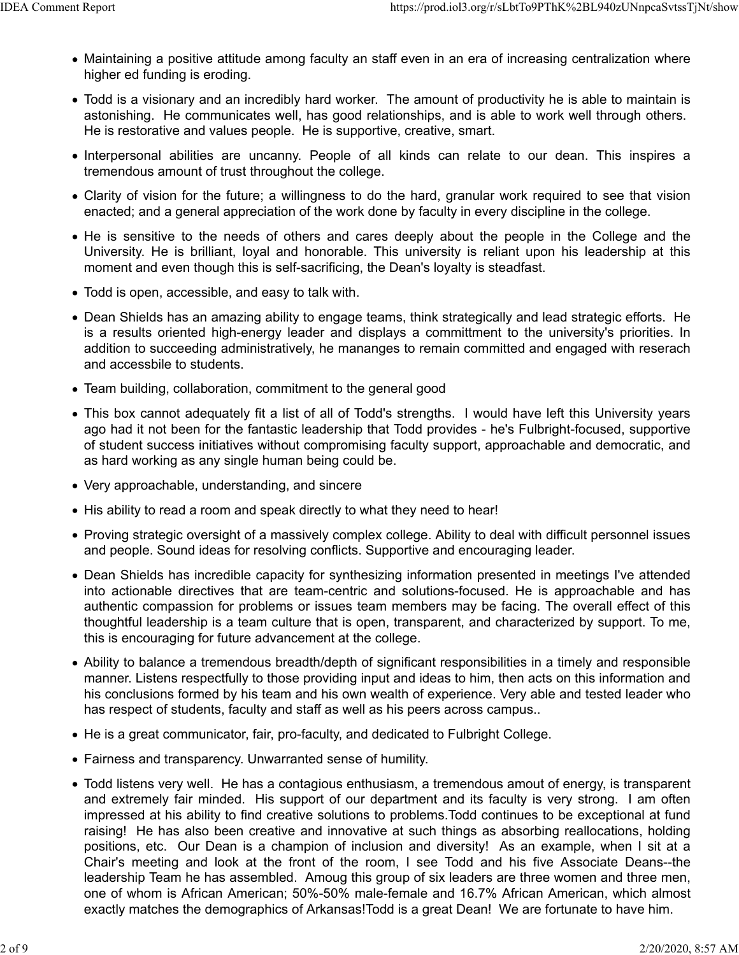- Maintaining a positive attitude among faculty an staff even in an era of increasing centralization where higher ed funding is eroding.
- Todd is a visionary and an incredibly hard worker. The amount of productivity he is able to maintain is astonishing. He communicates well, has good relationships, and is able to work well through others. He is restorative and values people. He is supportive, creative, smart.
- Interpersonal abilities are uncanny. People of all kinds can relate to our dean. This inspires a tremendous amount of trust throughout the college.
- Clarity of vision for the future; a willingness to do the hard, granular work required to see that vision enacted; and a general appreciation of the work done by faculty in every discipline in the college.
- He is sensitive to the needs of others and cares deeply about the people in the College and the University. He is brilliant, loyal and honorable. This university is reliant upon his leadership at this moment and even though this is self-sacrificing, the Dean's loyalty is steadfast.
- Todd is open, accessible, and easy to talk with.
- Dean Shields has an amazing ability to engage teams, think strategically and lead strategic efforts. He is a results oriented high-energy leader and displays a committment to the university's priorities. In addition to succeeding administratively, he mananges to remain committed and engaged with reserach and accessbile to students.
- Team building, collaboration, commitment to the general good
- This box cannot adequately fit a list of all of Todd's strengths. I would have left this University years ago had it not been for the fantastic leadership that Todd provides - he's Fulbright-focused, supportive of student success initiatives without compromising faculty support, approachable and democratic, and as hard working as any single human being could be.
- Very approachable, understanding, and sincere
- His ability to read a room and speak directly to what they need to hear!
- Proving strategic oversight of a massively complex college. Ability to deal with difficult personnel issues and people. Sound ideas for resolving conflicts. Supportive and encouraging leader.
- Dean Shields has incredible capacity for synthesizing information presented in meetings I've attended into actionable directives that are team-centric and solutions-focused. He is approachable and has authentic compassion for problems or issues team members may be facing. The overall effect of this thoughtful leadership is a team culture that is open, transparent, and characterized by support. To me, this is encouraging for future advancement at the college.
- Ability to balance a tremendous breadth/depth of significant responsibilities in a timely and responsible manner. Listens respectfully to those providing input and ideas to him, then acts on this information and his conclusions formed by his team and his own wealth of experience. Very able and tested leader who has respect of students, faculty and staff as well as his peers across campus..
- He is a great communicator, fair, pro-faculty, and dedicated to Fulbright College.
- Fairness and transparency. Unwarranted sense of humility.
- Todd listens very well. He has a contagious enthusiasm, a tremendous amout of energy, is transparent and extremely fair minded. His support of our department and its faculty is very strong. I am often impressed at his ability to find creative solutions to problems.Todd continues to be exceptional at fund raising! He has also been creative and innovative at such things as absorbing reallocations, holding positions, etc. Our Dean is a champion of inclusion and diversity! As an example, when I sit at a Chair's meeting and look at the front of the room, I see Todd and his five Associate Deans--the leadership Team he has assembled. Amoug this group of six leaders are three women and three men, one of whom is African American; 50%-50% male-female and 16.7% African American, which almost exactly matches the demographics of Arkansas!Todd is a great Dean! We are fortunate to have him.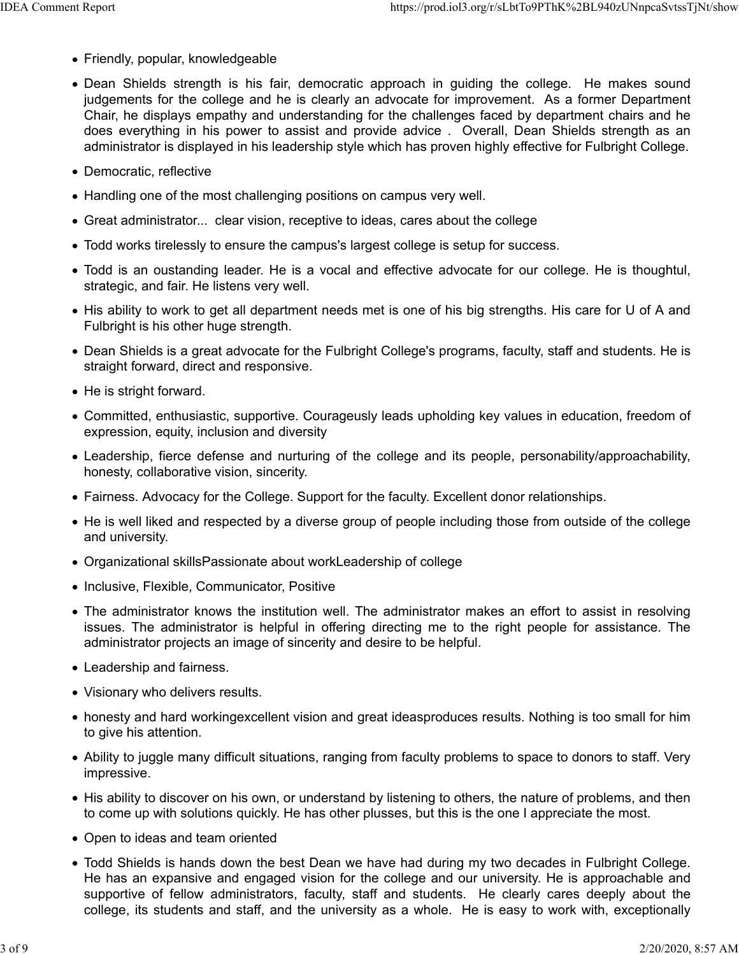- Friendly, popular, knowledgeable
- Dean Shields strength is his fair, democratic approach in guiding the college. He makes sound judgements for the college and he is clearly an advocate for improvement. As a former Department Chair, he displays empathy and understanding for the challenges faced by department chairs and he does everything in his power to assist and provide advice . Overall, Dean Shields strength as an administrator is displayed in his leadership style which has proven highly effective for Fulbright College.
- Democratic, reflective
- Handling one of the most challenging positions on campus very well.
- Great administrator... clear vision, receptive to ideas, cares about the college
- Todd works tirelessly to ensure the campus's largest college is setup for success.
- Todd is an oustanding leader. He is a vocal and effective advocate for our college. He is thoughtul, strategic, and fair. He listens very well.
- His ability to work to get all department needs met is one of his big strengths. His care for U of A and Fulbright is his other huge strength.
- Dean Shields is a great advocate for the Fulbright College's programs, faculty, staff and students. He is straight forward, direct and responsive.
- He is stright forward.
- Committed, enthusiastic, supportive. Courageusly leads upholding key values in education, freedom of expression, equity, inclusion and diversity
- Leadership, fierce defense and nurturing of the college and its people, personability/approachability, honesty, collaborative vision, sincerity.
- Fairness. Advocacy for the College. Support for the faculty. Excellent donor relationships.
- He is well liked and respected by a diverse group of people including those from outside of the college and university.
- Organizational skillsPassionate about workLeadership of college
- Inclusive, Flexible, Communicator, Positive
- The administrator knows the institution well. The administrator makes an effort to assist in resolving issues. The administrator is helpful in offering directing me to the right people for assistance. The administrator projects an image of sincerity and desire to be helpful.
- Leadership and fairness.
- Visionary who delivers results.
- honesty and hard workingexcellent vision and great ideasproduces results. Nothing is too small for him to give his attention.
- Ability to juggle many difficult situations, ranging from faculty problems to space to donors to staff. Very impressive.
- His ability to discover on his own, or understand by listening to others, the nature of problems, and then to come up with solutions quickly. He has other plusses, but this is the one I appreciate the most.
- Open to ideas and team oriented
- Todd Shields is hands down the best Dean we have had during my two decades in Fulbright College. He has an expansive and engaged vision for the college and our university. He is approachable and supportive of fellow administrators, faculty, staff and students. He clearly cares deeply about the college, its students and staff, and the university as a whole. He is easy to work with, exceptionally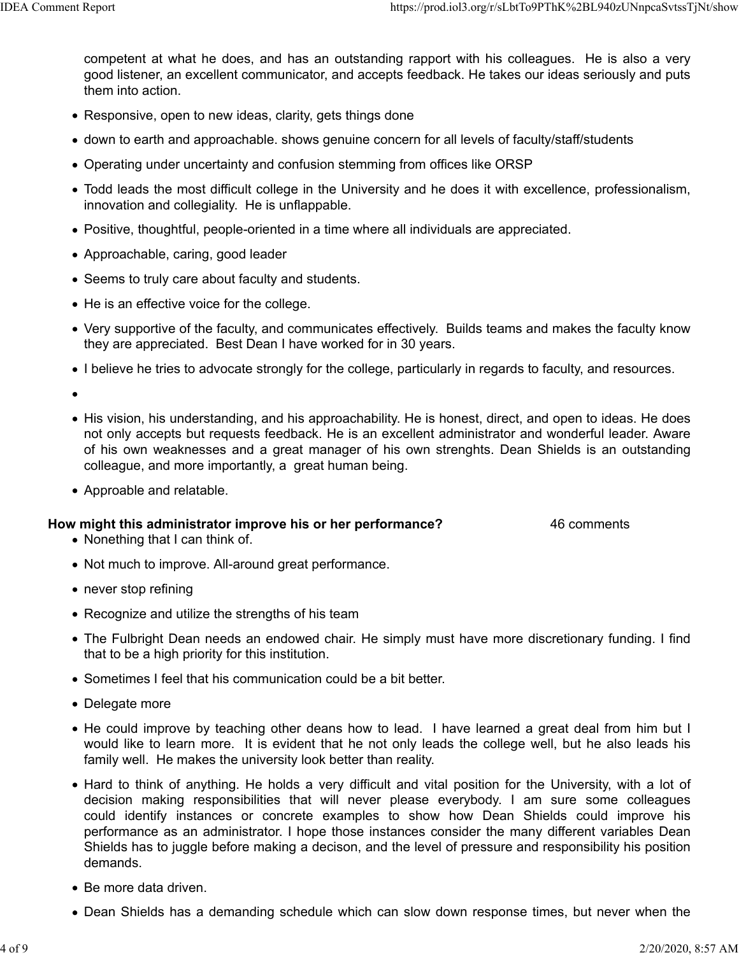competent at what he does, and has an outstanding rapport with his colleagues. He is also a very good listener, an excellent communicator, and accepts feedback. He takes our ideas seriously and puts them into action.

- Responsive, open to new ideas, clarity, gets things done
- down to earth and approachable. shows genuine concern for all levels of faculty/staff/students
- Operating under uncertainty and confusion stemming from offices like ORSP
- Todd leads the most difficult college in the University and he does it with excellence, professionalism, innovation and collegiality. He is unflappable.
- Positive, thoughtful, people-oriented in a time where all individuals are appreciated.
- Approachable, caring, good leader
- Seems to truly care about faculty and students.
- He is an effective voice for the college.
- Very supportive of the faculty, and communicates effectively. Builds teams and makes the faculty know they are appreciated. Best Dean I have worked for in 30 years.
- I believe he tries to advocate strongly for the college, particularly in regards to faculty, and resources.

- His vision, his understanding, and his approachability. He is honest, direct, and open to ideas. He does not only accepts but requests feedback. He is an excellent administrator and wonderful leader. Aware of his own weaknesses and a great manager of his own strenghts. Dean Shields is an outstanding colleague, and more importantly, a great human being.
- Approable and relatable.

## **How might this administrator improve his or her performance?** 46 comments

- Nonething that I can think of.
- Not much to improve. All-around great performance.
- never stop refining
- Recognize and utilize the strengths of his team
- The Fulbright Dean needs an endowed chair. He simply must have more discretionary funding. I find that to be a high priority for this institution.
- Sometimes I feel that his communication could be a bit better.
- Delegate more
- He could improve by teaching other deans how to lead. I have learned a great deal from him but I would like to learn more. It is evident that he not only leads the college well, but he also leads his family well. He makes the university look better than reality.
- Hard to think of anything. He holds a very difficult and vital position for the University, with a lot of decision making responsibilities that will never please everybody. I am sure some colleagues could identify instances or concrete examples to show how Dean Shields could improve his performance as an administrator. I hope those instances consider the many different variables Dean Shields has to juggle before making a decison, and the level of pressure and responsibility his position demands.
- Be more data driven.
- Dean Shields has a demanding schedule which can slow down response times, but never when the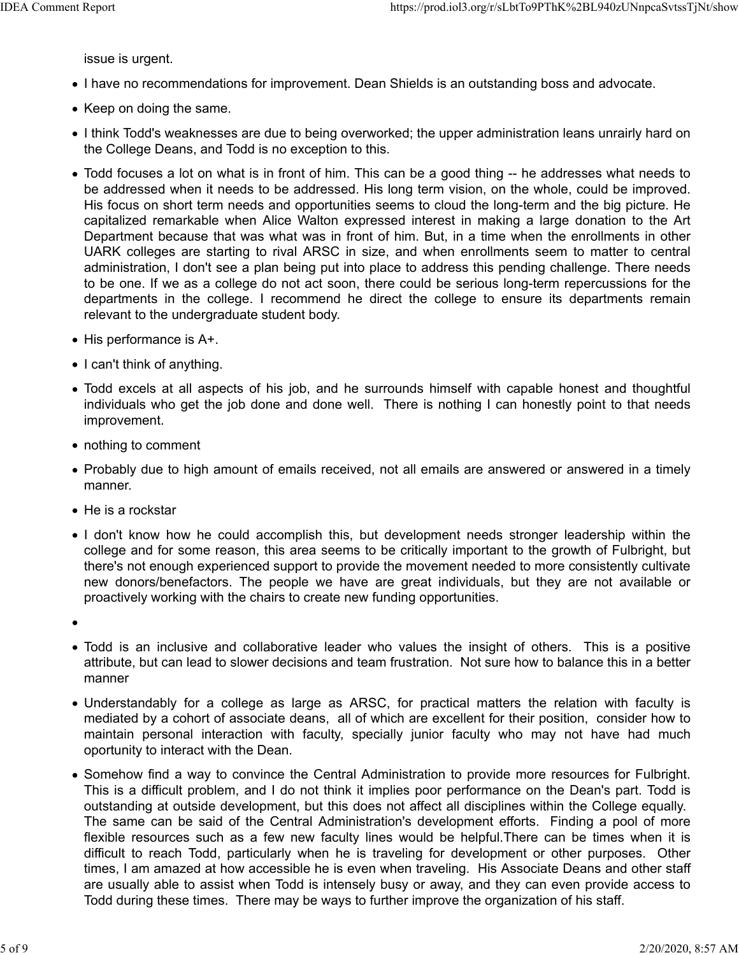issue is urgent.

- I have no recommendations for improvement. Dean Shields is an outstanding boss and advocate.
- Keep on doing the same.
- I think Todd's weaknesses are due to being overworked; the upper administration leans unrairly hard on the College Deans, and Todd is no exception to this.
- Todd focuses a lot on what is in front of him. This can be a good thing -- he addresses what needs to be addressed when it needs to be addressed. His long term vision, on the whole, could be improved. His focus on short term needs and opportunities seems to cloud the long-term and the big picture. He capitalized remarkable when Alice Walton expressed interest in making a large donation to the Art Department because that was what was in front of him. But, in a time when the enrollments in other UARK colleges are starting to rival ARSC in size, and when enrollments seem to matter to central administration, I don't see a plan being put into place to address this pending challenge. There needs to be one. If we as a college do not act soon, there could be serious long-term repercussions for the departments in the college. I recommend he direct the college to ensure its departments remain relevant to the undergraduate student body.
- $\bullet$  His performance is A+.
- I can't think of anything.
- Todd excels at all aspects of his job, and he surrounds himself with capable honest and thoughtful individuals who get the job done and done well. There is nothing I can honestly point to that needs improvement.
- nothing to comment
- Probably due to high amount of emails received, not all emails are answered or answered in a timely manner.
- He is a rockstar
- I don't know how he could accomplish this, but development needs stronger leadership within the college and for some reason, this area seems to be critically important to the growth of Fulbright, but there's not enough experienced support to provide the movement needed to more consistently cultivate new donors/benefactors. The people we have are great individuals, but they are not available or proactively working with the chairs to create new funding opportunities.
- 
- Todd is an inclusive and collaborative leader who values the insight of others. This is a positive attribute, but can lead to slower decisions and team frustration. Not sure how to balance this in a better manner
- Understandably for a college as large as ARSC, for practical matters the relation with faculty is mediated by a cohort of associate deans, all of which are excellent for their position, consider how to maintain personal interaction with faculty, specially junior faculty who may not have had much oportunity to interact with the Dean.
- Somehow find a way to convince the Central Administration to provide more resources for Fulbright. This is a difficult problem, and I do not think it implies poor performance on the Dean's part. Todd is outstanding at outside development, but this does not affect all disciplines within the College equally. The same can be said of the Central Administration's development efforts. Finding a pool of more flexible resources such as a few new faculty lines would be helpful.There can be times when it is difficult to reach Todd, particularly when he is traveling for development or other purposes. Other times, I am amazed at how accessible he is even when traveling. His Associate Deans and other staff are usually able to assist when Todd is intensely busy or away, and they can even provide access to Todd during these times. There may be ways to further improve the organization of his staff.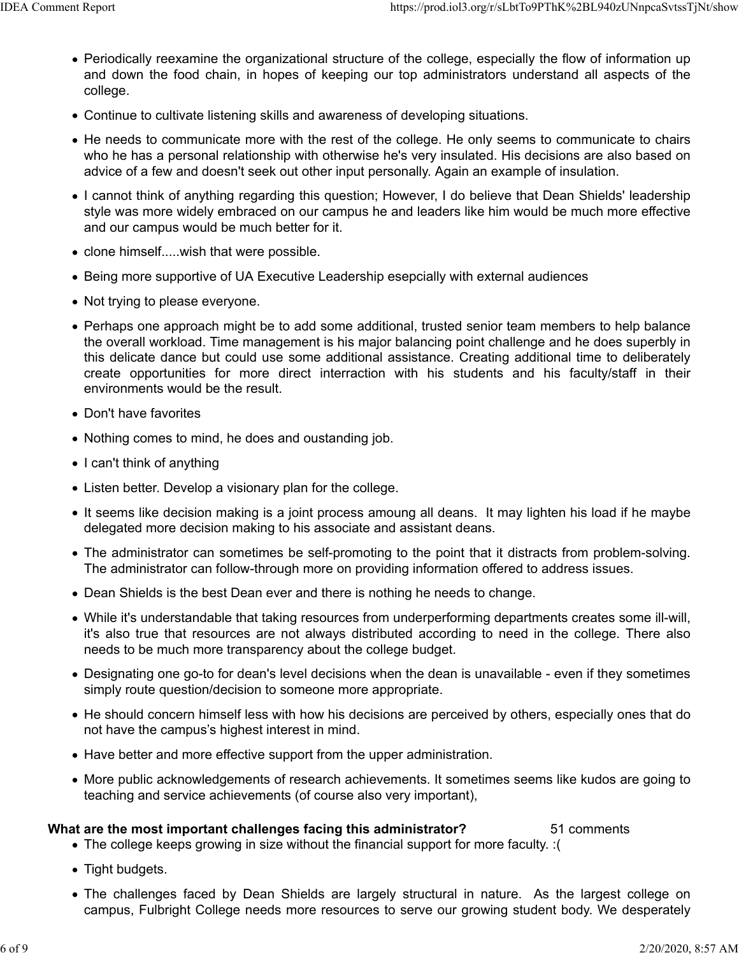- Periodically reexamine the organizational structure of the college, especially the flow of information up and down the food chain, in hopes of keeping our top administrators understand all aspects of the college.
- Continue to cultivate listening skills and awareness of developing situations.
- He needs to communicate more with the rest of the college. He only seems to communicate to chairs who he has a personal relationship with otherwise he's very insulated. His decisions are also based on advice of a few and doesn't seek out other input personally. Again an example of insulation.
- I cannot think of anything regarding this question; However, I do believe that Dean Shields' leadership style was more widely embraced on our campus he and leaders like him would be much more effective and our campus would be much better for it.
- clone himself.....wish that were possible.
- Being more supportive of UA Executive Leadership esepcially with external audiences
- Not trying to please everyone.
- Perhaps one approach might be to add some additional, trusted senior team members to help balance the overall workload. Time management is his major balancing point challenge and he does superbly in this delicate dance but could use some additional assistance. Creating additional time to deliberately create opportunities for more direct interraction with his students and his faculty/staff in their environments would be the result.
- Don't have favorites
- Nothing comes to mind, he does and oustanding job.
- I can't think of anything
- Listen better. Develop a visionary plan for the college.
- It seems like decision making is a joint process amoung all deans. It may lighten his load if he maybe delegated more decision making to his associate and assistant deans.
- The administrator can sometimes be self-promoting to the point that it distracts from problem-solving. The administrator can follow-through more on providing information offered to address issues.
- Dean Shields is the best Dean ever and there is nothing he needs to change.
- While it's understandable that taking resources from underperforming departments creates some ill-will, it's also true that resources are not always distributed according to need in the college. There also needs to be much more transparency about the college budget.
- Designating one go-to for dean's level decisions when the dean is unavailable even if they sometimes simply route question/decision to someone more appropriate.
- He should concern himself less with how his decisions are perceived by others, especially ones that do not have the campus's highest interest in mind.
- Have better and more effective support from the upper administration.
- More public acknowledgements of research achievements. It sometimes seems like kudos are going to teaching and service achievements (of course also very important),

## **What are the most important challenges facing this administrator?** 51 comments

- The college keeps growing in size without the financial support for more faculty. :(
- Tight budgets.
- The challenges faced by Dean Shields are largely structural in nature. As the largest college on campus, Fulbright College needs more resources to serve our growing student body. We desperately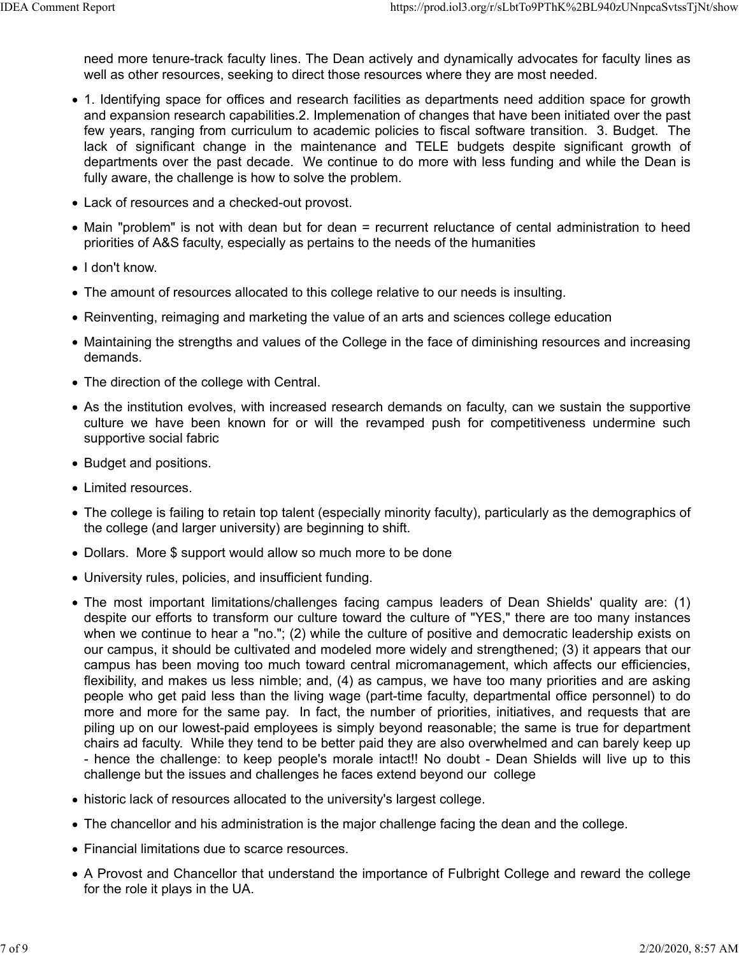need more tenure-track faculty lines. The Dean actively and dynamically advocates for faculty lines as well as other resources, seeking to direct those resources where they are most needed.

- 1. Identifying space for offices and research facilities as departments need addition space for growth and expansion research capabilities.2. Implemenation of changes that have been initiated over the past few years, ranging from curriculum to academic policies to fiscal software transition. 3. Budget. The lack of significant change in the maintenance and TELE budgets despite significant growth of departments over the past decade. We continue to do more with less funding and while the Dean is fully aware, the challenge is how to solve the problem.
- Lack of resources and a checked-out provost.
- Main "problem" is not with dean but for dean = recurrent reluctance of cental administration to heed priorities of A&S faculty, especially as pertains to the needs of the humanities
- I don't know.
- The amount of resources allocated to this college relative to our needs is insulting.
- Reinventing, reimaging and marketing the value of an arts and sciences college education
- Maintaining the strengths and values of the College in the face of diminishing resources and increasing demands.
- The direction of the college with Central.
- As the institution evolves, with increased research demands on faculty, can we sustain the supportive culture we have been known for or will the revamped push for competitiveness undermine such supportive social fabric
- Budget and positions.
- Limited resources
- The college is failing to retain top talent (especially minority faculty), particularly as the demographics of the college (and larger university) are beginning to shift.
- Dollars. More \$ support would allow so much more to be done
- University rules, policies, and insufficient funding.
- The most important limitations/challenges facing campus leaders of Dean Shields' quality are: (1) despite our efforts to transform our culture toward the culture of "YES," there are too many instances when we continue to hear a "no."; (2) while the culture of positive and democratic leadership exists on our campus, it should be cultivated and modeled more widely and strengthened; (3) it appears that our campus has been moving too much toward central micromanagement, which affects our efficiencies, flexibility, and makes us less nimble; and, (4) as campus, we have too many priorities and are asking people who get paid less than the living wage (part-time faculty, departmental office personnel) to do more and more for the same pay. In fact, the number of priorities, initiatives, and requests that are piling up on our lowest-paid employees is simply beyond reasonable; the same is true for department chairs ad faculty. While they tend to be better paid they are also overwhelmed and can barely keep up - hence the challenge: to keep people's morale intact!! No doubt - Dean Shields will live up to this challenge but the issues and challenges he faces extend beyond our college
- historic lack of resources allocated to the university's largest college.
- The chancellor and his administration is the major challenge facing the dean and the college.
- Financial limitations due to scarce resources.
- A Provost and Chancellor that understand the importance of Fulbright College and reward the college for the role it plays in the UA.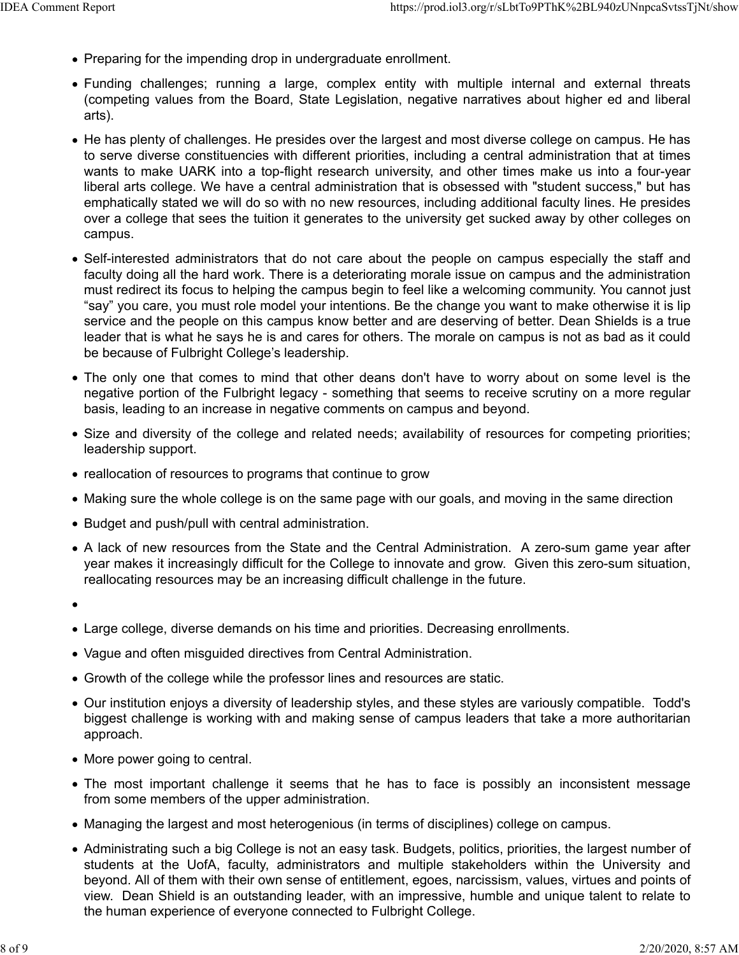- Preparing for the impending drop in undergraduate enrollment.
- Funding challenges; running a large, complex entity with multiple internal and external threats (competing values from the Board, State Legislation, negative narratives about higher ed and liberal arts).
- He has plenty of challenges. He presides over the largest and most diverse college on campus. He has to serve diverse constituencies with different priorities, including a central administration that at times wants to make UARK into a top-flight research university, and other times make us into a four-year liberal arts college. We have a central administration that is obsessed with "student success," but has emphatically stated we will do so with no new resources, including additional faculty lines. He presides over a college that sees the tuition it generates to the university get sucked away by other colleges on campus.
- Self-interested administrators that do not care about the people on campus especially the staff and faculty doing all the hard work. There is a deteriorating morale issue on campus and the administration must redirect its focus to helping the campus begin to feel like a welcoming community. You cannot just "say" you care, you must role model your intentions. Be the change you want to make otherwise it is lip service and the people on this campus know better and are deserving of better. Dean Shields is a true leader that is what he says he is and cares for others. The morale on campus is not as bad as it could be because of Fulbright College's leadership.
- The only one that comes to mind that other deans don't have to worry about on some level is the negative portion of the Fulbright legacy - something that seems to receive scrutiny on a more regular basis, leading to an increase in negative comments on campus and beyond.
- Size and diversity of the college and related needs; availability of resources for competing priorities; leadership support.
- reallocation of resources to programs that continue to grow
- Making sure the whole college is on the same page with our goals, and moving in the same direction
- Budget and push/pull with central administration.
- A lack of new resources from the State and the Central Administration. A zero-sum game year after year makes it increasingly difficult for the College to innovate and grow. Given this zero-sum situation, reallocating resources may be an increasing difficult challenge in the future.
- 
- Large college, diverse demands on his time and priorities. Decreasing enrollments.
- Vague and often misguided directives from Central Administration.
- Growth of the college while the professor lines and resources are static.
- Our institution enjoys a diversity of leadership styles, and these styles are variously compatible. Todd's biggest challenge is working with and making sense of campus leaders that take a more authoritarian approach.
- More power going to central.
- The most important challenge it seems that he has to face is possibly an inconsistent message from some members of the upper administration.
- Managing the largest and most heterogenious (in terms of disciplines) college on campus.
- Administrating such a big College is not an easy task. Budgets, politics, priorities, the largest number of students at the UofA, faculty, administrators and multiple stakeholders within the University and beyond. All of them with their own sense of entitlement, egoes, narcissism, values, virtues and points of view. Dean Shield is an outstanding leader, with an impressive, humble and unique talent to relate to the human experience of everyone connected to Fulbright College.